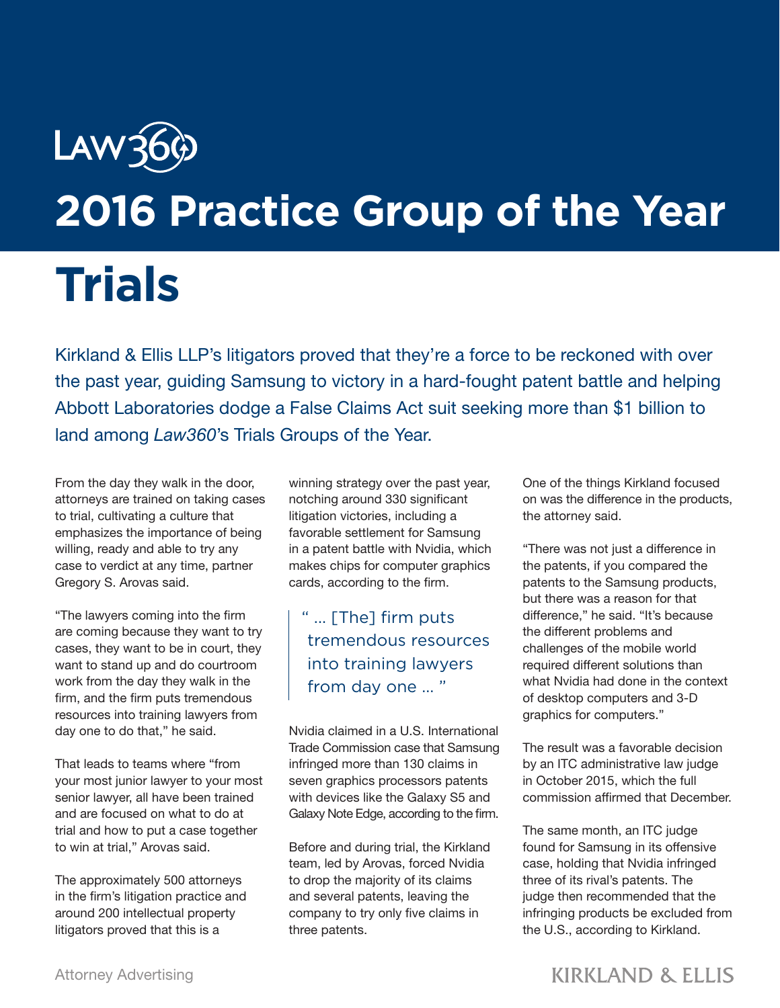## Law36 **2016 Practice Group of the Year**

## **Trials**

Kirkland & Ellis LLP's litigators proved that they're a force to be reckoned with over the past year, guiding Samsung to victory in a hard-fought patent battle and helping Abbott Laboratories dodge a False Claims Act suit seeking more than \$1 billion to land among *Law360*'s Trials Groups of the Year.

From the day they walk in the door, attorneys are trained on taking cases to trial, cultivating a culture that emphasizes the importance of being willing, ready and able to try any case to verdict at any time, partner Gregory S. Arovas said.

"The lawyers coming into the firm are coming because they want to try cases, they want to be in court, they want to stand up and do courtroom work from the day they walk in the firm, and the firm puts tremendous resources into training lawyers from day one to do that," he said.

That leads to teams where "from your most junior lawyer to your most senior lawyer, all have been trained and are focused on what to do at trial and how to put a case together to win at trial," Arovas said.

The approximately 500 attorneys in the firm's litigation practice and around 200 intellectual property litigators proved that this is a

winning strategy over the past year, notching around 330 significant litigation victories, including a favorable settlement for Samsung in a patent battle with Nvidia, which makes chips for computer graphics cards, according to the firm.

## " ... [The] firm puts tremendous resources into training lawyers from day one ... "

Nvidia claimed in a U.S. International Trade Commission case that Samsung infringed more than 130 claims in seven graphics processors patents with devices like the Galaxy S5 and Galaxy Note Edge, according to the firm.

Before and during trial, the Kirkland team, led by Arovas, forced Nvidia to drop the majority of its claims and several patents, leaving the company to try only five claims in three patents.

One of the things Kirkland focused on was the difference in the products, the attorney said.

"There was not just a difference in the patents, if you compared the patents to the Samsung products, but there was a reason for that difference," he said. "It's because the different problems and challenges of the mobile world required different solutions than what Nvidia had done in the context of desktop computers and 3-D graphics for computers."

The result was a favorable decision by an ITC administrative law judge in October 2015, which the full commission affirmed that December.

The same month, an ITC judge found for Samsung in its offensive case, holding that Nvidia infringed three of its rival's patents. The judge then recommended that the infringing products be excluded from the U.S., according to Kirkland.